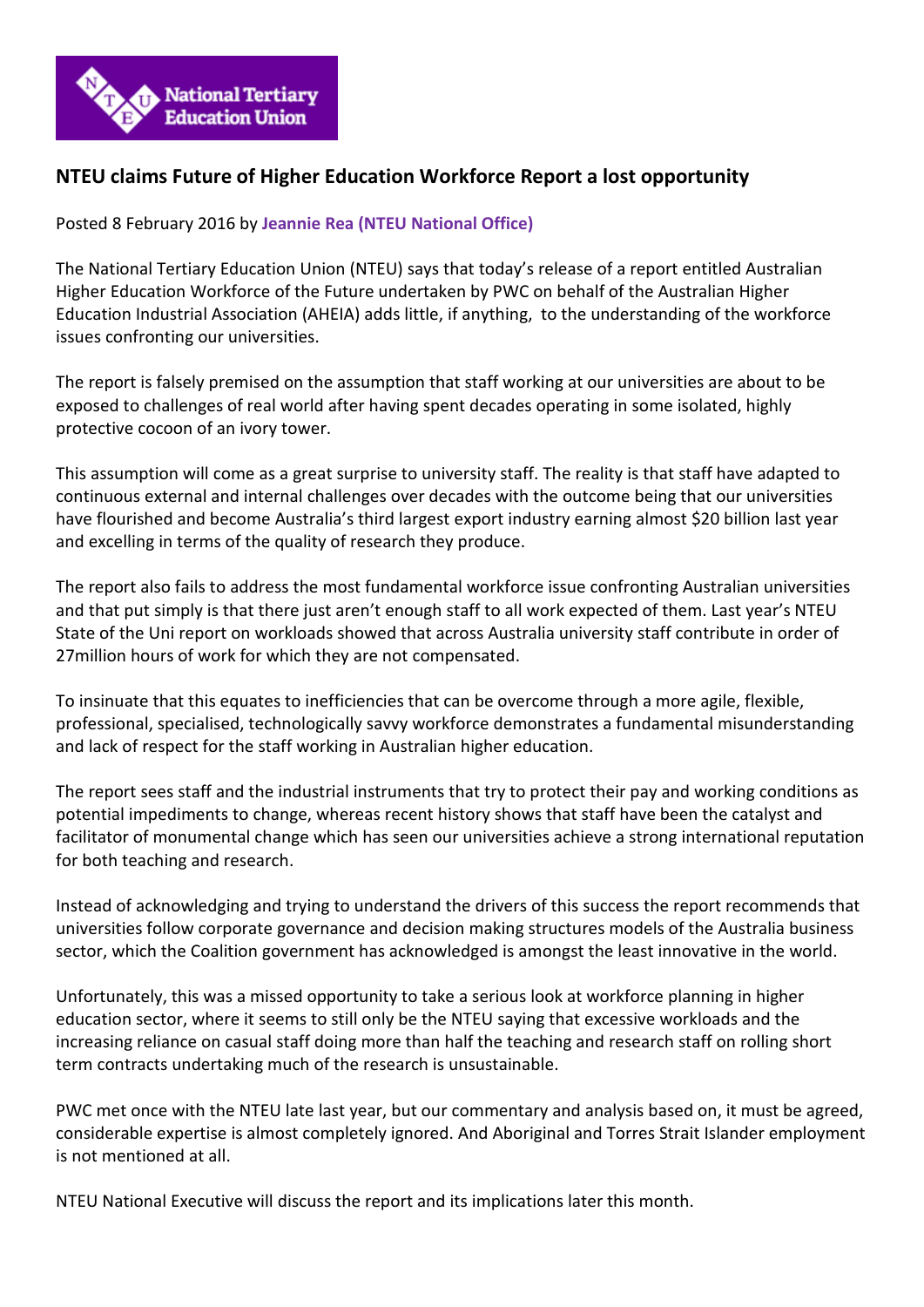

## **NTEU claims Future of Higher Education Workforce Report a lost opportunity**

Posted 8 February 2016 by **[Jeannie Rea \(NTEU National Office\)](http://www.nteu.org.au/blog/view/blog/displayAuthorId/2441)**

The National Tertiary Education Union (NTEU) says that today's release of a report entitled Australian Higher Education Workforce of the Future undertaken by PWC on behalf of the Australian Higher Education Industrial Association (AHEIA) adds little, if anything, to the understanding of the workforce issues confronting our universities.

The report is falsely premised on the assumption that staff working at our universities are about to be exposed to challenges of real world after having spent decades operating in some isolated, highly protective cocoon of an ivory tower.

This assumption will come as a great surprise to university staff. The reality is that staff have adapted to continuous external and internal challenges over decades with the outcome being that our universities have flourished and become Australia's third largest export industry earning almost \$20 billion last year and excelling in terms of the quality of research they produce.

The report also fails to address the most fundamental workforce issue confronting Australian universities and that put simply is that there just aren't enough staff to all work expected of them. Last year's NTEU State of the Uni report on workloads showed that across Australia university staff contribute in order of 27million hours of work for which they are not compensated.

To insinuate that this equates to inefficiencies that can be overcome through a more agile, flexible, professional, specialised, technologically savvy workforce demonstrates a fundamental misunderstanding and lack of respect for the staff working in Australian higher education.

The report sees staff and the industrial instruments that try to protect their pay and working conditions as potential impediments to change, whereas recent history shows that staff have been the catalyst and facilitator of monumental change which has seen our universities achieve a strong international reputation for both teaching and research.

Instead of acknowledging and trying to understand the drivers of this success the report recommends that universities follow corporate governance and decision making structures models of the Australia business sector, which the Coalition government has acknowledged is amongst the least innovative in the world.

Unfortunately, this was a missed opportunity to take a serious look at workforce planning in higher education sector, where it seems to still only be the NTEU saying that excessive workloads and the increasing reliance on casual staff doing more than half the teaching and research staff on rolling short term contracts undertaking much of the research is unsustainable.

PWC met once with the NTEU late last year, but our commentary and analysis based on, it must be agreed, considerable expertise is almost completely ignored. And Aboriginal and Torres Strait Islander employment is not mentioned at all.

NTEU National Executive will discuss the report and its implications later this month.